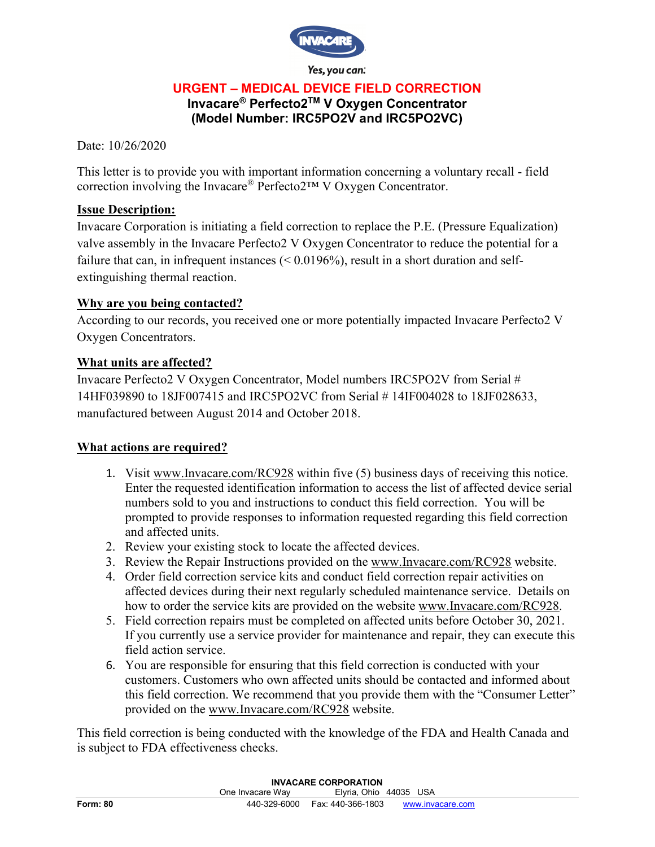

Yes, you can:

## **URGENT – MEDICAL DEVICE FIELD CORRECTION**

# **Invacare® Perfecto2TM V Oxygen Concentrator (Model Number: IRC5PO2V and IRC5PO2VC)**

Date: 10/26/2020

This letter is to provide you with important information concerning a voluntary recall - field correction involving the Invacare® Perfecto2™ V Oxygen Concentrator.

### **Issue Description:**

Invacare Corporation is initiating a field correction to replace the P.E. (Pressure Equalization) valve assembly in the Invacare Perfecto2 V Oxygen Concentrator to reduce the potential for a failure that can, in infrequent instances (< 0.0196%), result in a short duration and selfextinguishing thermal reaction.

### **Why are you being contacted?**

According to our records, you received one or more potentially impacted Invacare Perfecto2 V Oxygen Concentrators.

## **What units are affected?**

Invacare Perfecto2 V Oxygen Concentrator, Model numbers IRC5PO2V from Serial # 14HF039890 to 18JF007415 and IRC5PO2VC from Serial # 14IF004028 to 18JF028633, manufactured between August 2014 and October 2018.

#### **What actions are required?**

- 1. Visit www.Invacare.com/RC928 within five (5) business days of receiving this notice. Enter the requested identification information to access the list of affected device serial numbers sold to you and instructions to conduct this field correction. You will be prompted to provide responses to information requested regarding this field correction and affected units.
- 2. Review your existing stock to locate the affected devices.
- 3. Review the Repair Instructions provided on the www.Invacare.com/RC928 website.
- 4. Order field correction service kits and conduct field correction repair activities on affected devices during their next regularly scheduled maintenance service. Details on how to order the service kits are provided on the website www.Invacare.com/RC928.
- 5. Field correction repairs must be completed on affected units before October 30, 2021. If you currently use a service provider for maintenance and repair, they can execute this field action service.
- 6. You are responsible for ensuring that this field correction is conducted with your customers. Customers who own affected units should be contacted and informed about this field correction. We recommend that you provide them with the "Consumer Letter" provided on the www.Invacare.com/RC928 website.

This field correction is being conducted with the knowledge of the FDA and Health Canada and is subject to FDA effectiveness checks.